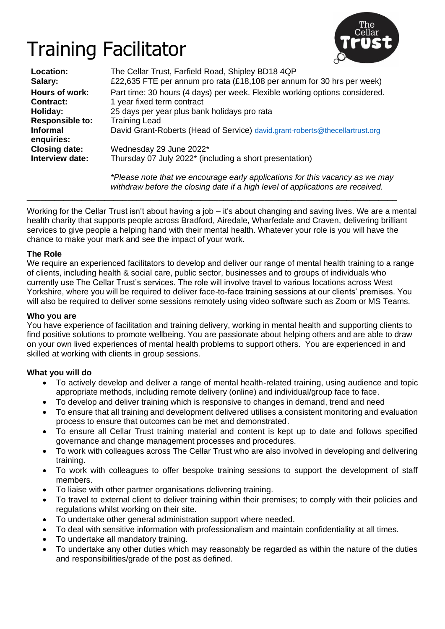# Training Facilitator



| Location:                                                           | The Cellar Trust, Farfield Road, Shipley BD18 4QP                                                                                                    |
|---------------------------------------------------------------------|------------------------------------------------------------------------------------------------------------------------------------------------------|
| Salary:                                                             | £22,635 FTE per annum pro rata (£18,108 per annum for 30 hrs per week)                                                                               |
| <b>Hours of work:</b>                                               | Part time: 30 hours (4 days) per week. Flexible working options considered.                                                                          |
| <b>Contract:</b>                                                    | 1 year fixed term contract                                                                                                                           |
| Holiday:<br><b>Responsible to:</b><br><b>Informal</b><br>enquiries: | 25 days per year plus bank holidays pro rata<br><b>Training Lead</b><br>David Grant-Roberts (Head of Service) david.grant-roberts@thecellartrust.org |
| <b>Closing date:</b>                                                | Wednesday 29 June 2022*                                                                                                                              |
| Interview date:                                                     | Thursday 07 July 2022 <sup>*</sup> (including a short presentation)                                                                                  |

*\*Please note that we encourage early applications for this vacancy as we may withdraw before the closing date if a high level of applications are received.* 

Working for the Cellar Trust isn't about having a job – it's about changing and saving lives. We are a mental health charity that supports people across Bradford, Airedale, Wharfedale and Craven, delivering brilliant services to give people a helping hand with their mental health. Whatever your role is you will have the chance to make your mark and see the impact of your work.

\_\_\_\_\_\_\_\_\_\_\_\_\_\_\_\_\_\_\_\_\_\_\_\_\_\_\_\_\_\_\_\_\_\_\_\_\_\_\_\_\_\_\_\_\_\_\_\_\_\_\_\_\_\_\_\_\_\_\_\_\_\_\_\_\_\_\_\_\_\_\_\_\_\_\_\_\_\_\_\_\_

### **The Role**

We require an experienced facilitators to develop and deliver our range of mental health training to a range of clients, including health & social care, public sector, businesses and to groups of individuals who currently use The Cellar Trust's services. The role will involve travel to various locations across West Yorkshire, where you will be required to deliver face-to-face training sessions at our clients' premises. You will also be required to deliver some sessions remotely using video software such as Zoom or MS Teams.

#### **Who you are**

You have experience of facilitation and training delivery, working in mental health and supporting clients to find positive solutions to promote wellbeing. You are passionate about helping others and are able to draw on your own lived experiences of mental health problems to support others. You are experienced in and skilled at working with clients in group sessions.

# **What you will do**

- To actively develop and deliver a range of mental health-related training, using audience and topic appropriate methods, including remote delivery (online) and individual/group face to face.
- To develop and deliver training which is responsive to changes in demand, trend and need
- To ensure that all training and development delivered utilises a consistent monitoring and evaluation process to ensure that outcomes can be met and demonstrated.
- To ensure all Cellar Trust training material and content is kept up to date and follows specified governance and change management processes and procedures.
- To work with colleagues across The Cellar Trust who are also involved in developing and delivering training.
- To work with colleagues to offer bespoke training sessions to support the development of staff members.
- To liaise with other partner organisations delivering training.
- To travel to external client to deliver training within their premises; to comply with their policies and regulations whilst working on their site.
- To undertake other general administration support where needed.
- To deal with sensitive information with professionalism and maintain confidentiality at all times.
- To undertake all mandatory training.
- To undertake any other duties which may reasonably be regarded as within the nature of the duties and responsibilities/grade of the post as defined.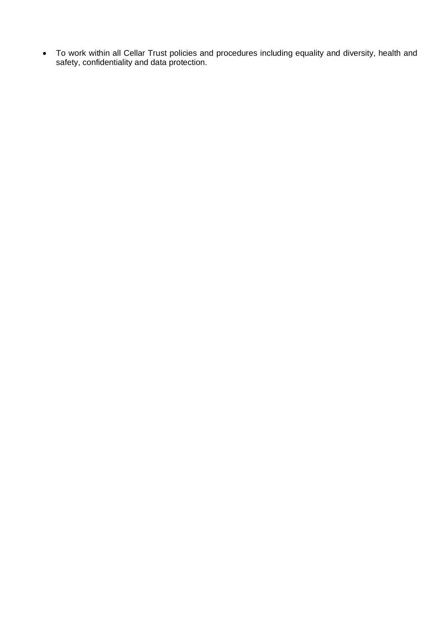• To work within all Cellar Trust policies and procedures including equality and diversity, health and safety, confidentiality and data protection.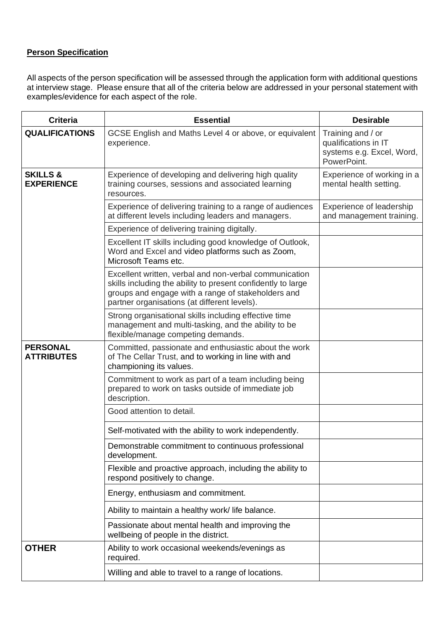# **Person Specification**

All aspects of the person specification will be assessed through the application form with additional questions at interview stage. Please ensure that all of the criteria below are addressed in your personal statement with examples/evidence for each aspect of the role.

| <b>Criteria</b>                          | <b>Essential</b>                                                                                                                                                                                                             | <b>Desirable</b>                                                                      |
|------------------------------------------|------------------------------------------------------------------------------------------------------------------------------------------------------------------------------------------------------------------------------|---------------------------------------------------------------------------------------|
| <b>QUALIFICATIONS</b>                    | GCSE English and Maths Level 4 or above, or equivalent<br>experience.                                                                                                                                                        | Training and / or<br>qualifications in IT<br>systems e.g. Excel, Word,<br>PowerPoint. |
| <b>SKILLS &amp;</b><br><b>EXPERIENCE</b> | Experience of developing and delivering high quality<br>training courses, sessions and associated learning<br>resources.                                                                                                     | Experience of working in a<br>mental health setting.                                  |
|                                          | Experience of delivering training to a range of audiences<br>at different levels including leaders and managers.                                                                                                             | Experience of leadership<br>and management training.                                  |
|                                          | Experience of delivering training digitally.                                                                                                                                                                                 |                                                                                       |
|                                          | Excellent IT skills including good knowledge of Outlook,<br>Word and Excel and video platforms such as Zoom,<br>Microsoft Teams etc.                                                                                         |                                                                                       |
|                                          | Excellent written, verbal and non-verbal communication<br>skills including the ability to present confidently to large<br>groups and engage with a range of stakeholders and<br>partner organisations (at different levels). |                                                                                       |
|                                          | Strong organisational skills including effective time<br>management and multi-tasking, and the ability to be<br>flexible/manage competing demands.                                                                           |                                                                                       |
| <b>PERSONAL</b><br><b>ATTRIBUTES</b>     | Committed, passionate and enthusiastic about the work<br>of The Cellar Trust, and to working in line with and<br>championing its values.                                                                                     |                                                                                       |
|                                          | Commitment to work as part of a team including being<br>prepared to work on tasks outside of immediate job<br>description.                                                                                                   |                                                                                       |
|                                          | Good attention to detail.                                                                                                                                                                                                    |                                                                                       |
|                                          | Self-motivated with the ability to work independently.                                                                                                                                                                       |                                                                                       |
|                                          | Demonstrable commitment to continuous professional<br>development.                                                                                                                                                           |                                                                                       |
|                                          | Flexible and proactive approach, including the ability to<br>respond positively to change.                                                                                                                                   |                                                                                       |
|                                          | Energy, enthusiasm and commitment.                                                                                                                                                                                           |                                                                                       |
|                                          | Ability to maintain a healthy work/life balance.                                                                                                                                                                             |                                                                                       |
|                                          | Passionate about mental health and improving the<br>wellbeing of people in the district.                                                                                                                                     |                                                                                       |
| <b>OTHER</b>                             | Ability to work occasional weekends/evenings as<br>required.                                                                                                                                                                 |                                                                                       |
|                                          | Willing and able to travel to a range of locations.                                                                                                                                                                          |                                                                                       |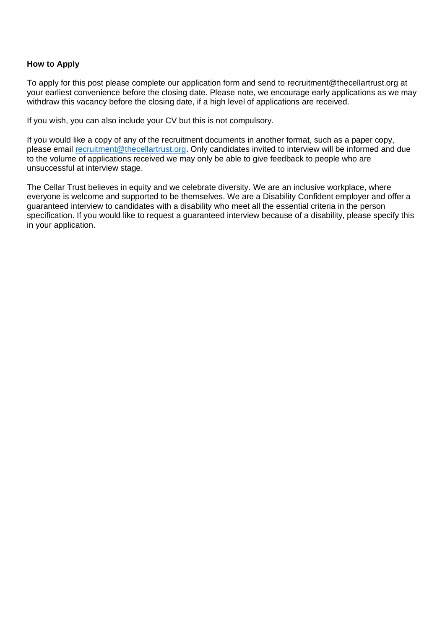## **How to Apply**

To apply for this post please complete our application form and send to [recruitment@thecellartrust.org](mailto:recruitment@thecellartrust.org) at your earliest convenience before the closing date. Please note, we encourage early applications as we may withdraw this vacancy before the closing date, if a high level of applications are received.

If you wish, you can also include your CV but this is not compulsory.

If you would like a copy of any of the recruitment documents in another format, such as a paper copy, please email [recruitment@thecellartrust.org.](mailto:recruitment@thecellartrust.org) Only candidates invited to interview will be informed and due to the volume of applications received we may only be able to give feedback to people who are unsuccessful at interview stage.

The Cellar Trust believes in equity and we celebrate diversity. We are an inclusive workplace, where everyone is welcome and supported to be themselves. We are a Disability Confident employer and offer a guaranteed interview to candidates with a disability who meet all the essential criteria in the person specification. If you would like to request a guaranteed interview because of a disability, please specify this in your application.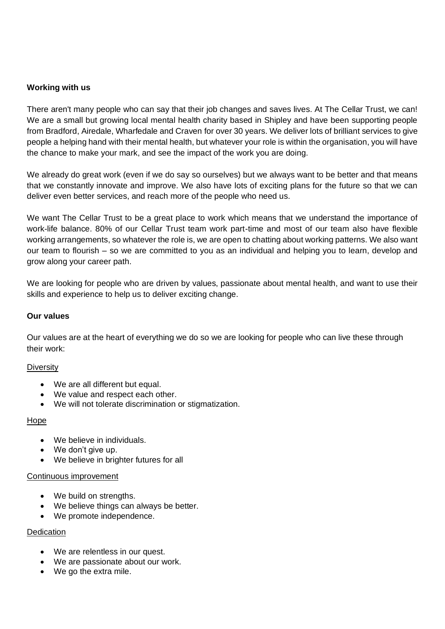#### **Working with us**

There aren't many people who can say that their job changes and saves lives. At The Cellar Trust, we can! We are a small but growing local mental health charity based in Shipley and have been supporting people from Bradford, Airedale, Wharfedale and Craven for over 30 years. We deliver lots of brilliant services to give people a helping hand with their mental health, but whatever your role is within the organisation, you will have the chance to make your mark, and see the impact of the work you are doing.

We already do great work (even if we do say so ourselves) but we always want to be better and that means that we constantly innovate and improve. We also have lots of exciting plans for the future so that we can deliver even better services, and reach more of the people who need us.

We want The Cellar Trust to be a great place to work which means that we understand the importance of work-life balance. 80% of our Cellar Trust team work part-time and most of our team also have flexible working arrangements, so whatever the role is, we are open to chatting about working patterns. We also want our team to flourish – so we are committed to you as an individual and helping you to learn, develop and grow along your career path.

We are looking for people who are driven by values, passionate about mental health, and want to use their skills and experience to help us to deliver exciting change.

#### **Our values**

Our values are at the heart of everything we do so we are looking for people who can live these through their work:

#### **Diversity**

- We are all different but equal.
- We value and respect each other.
- We will not tolerate discrimination or stigmatization.

#### Hope

- We believe in individuals.
- We don't give up.
- We believe in brighter futures for all

#### Continuous improvement

- We build on strengths.
- We believe things can always be better.
- We promote independence.

#### **Dedication**

- We are relentless in our quest.
- We are passionate about our work.
- We go the extra mile.